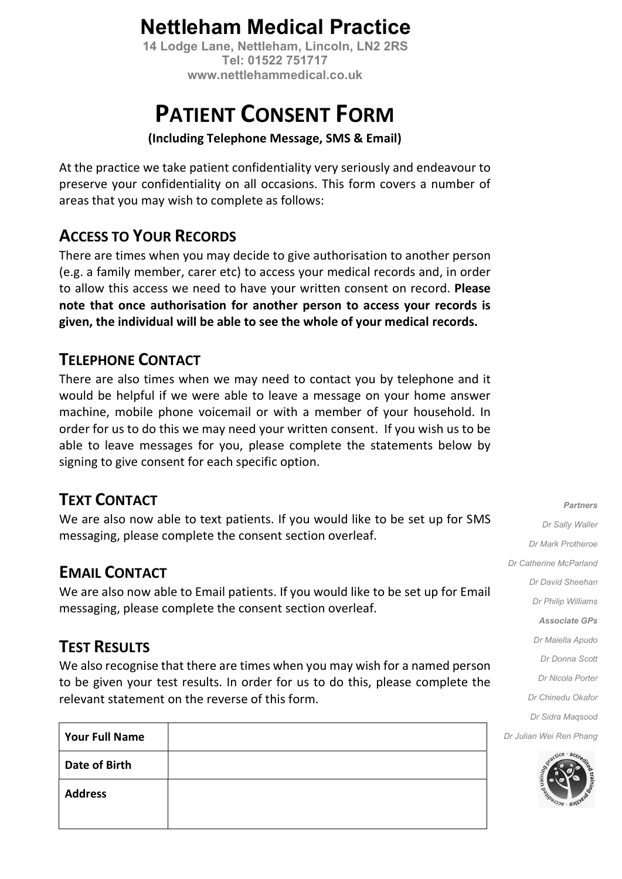## Nettleham Medical Practice

 14 Lodge Lane, Nettleham, Lincoln, LN2 2RS Tel: 01522 751717 www.nettlehammedical.co.uk

# PATIENT CONSENT FORM

#### (Including Telephone Message, SMS & Email)

At the practice we take patient confidentiality very seriously and endeavour to preserve your confidentiality on all occasions. This form covers a number of areas that you may wish to complete as follows:

### ACCESS TO YOUR RECORDS

There are times when you may decide to give authorisation to another person (e.g. a family member, carer etc) to access your medical records and, in order to allow this access we need to have your written consent on record. Please note that once authorisation for another person to access your records is given, the individual will be able to see the whole of your medical records.

### TELEPHONE CONTACT

There are also times when we may need to contact you by telephone and it would be helpful if we were able to leave a message on your home answer machine, mobile phone voicemail or with a member of your household. In order for us to do this we may need your written consent. If you wish us to be able to leave messages for you, please complete the statements below by signing to give consent for each specific option.

### TEXT CONTACT

We are also now able to text patients. If you would like to be set up for SMS messaging, please complete the consent section overleaf.

### EMAIL CONTACT

We are also now able to Email patients. If you would like to be set up for Email messaging, please complete the consent section overleaf.

### **TEST RESULTS**

We also recognise that there are times when you may wish for a named person to be given your test results. In order for us to do this, please complete the relevant statement on the reverse of this form.

| <b>Your Full Name</b> |  |
|-----------------------|--|
| <b>Date of Birth</b>  |  |
| <b>Address</b>        |  |

Partners Dr Sally Waller Dr Mark Protheroe Dr Catherine McParland Dr David Sheehan Dr Philip Williams Associate GPs Dr Maiella Apudo Dr Donna Scott Dr Nicola Porter Dr Chinedu Okafor Dr Sidra Maqsood Dr Julian Wei Ren Phang

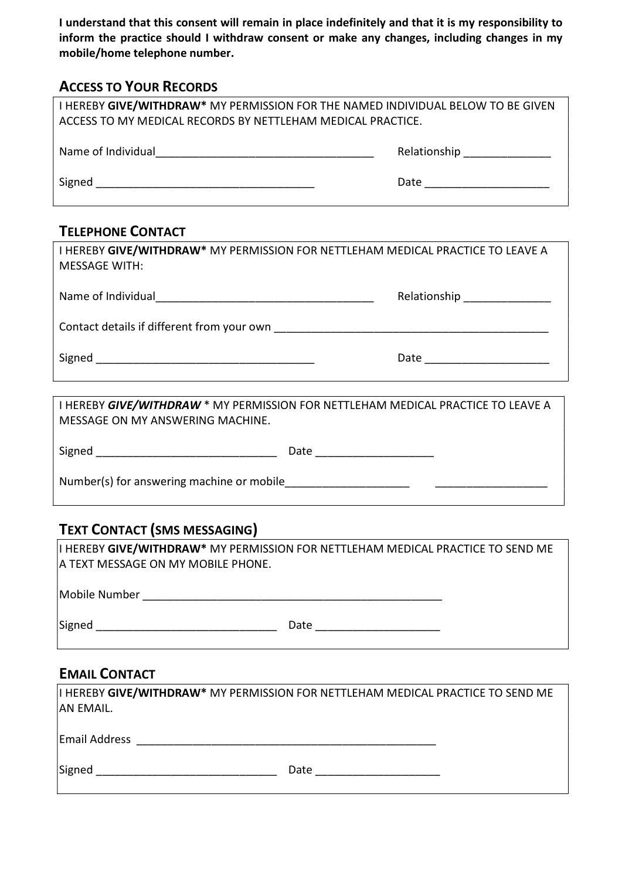I understand that this consent will remain in place indefinitely and that it is my responsibility to inform the practice should I withdraw consent or make any changes, including changes in my mobile/home telephone number.

#### ACCESS TO YOUR RECORDS

| I HEREBY GIVE/WITHDRAW* MY PERMISSION FOR THE NAMED INDIVIDUAL BELOW TO BE GIVEN<br>ACCESS TO MY MEDICAL RECORDS BY NETTLEHAM MEDICAL PRACTICE. |                                                         |  |  |  |
|-------------------------------------------------------------------------------------------------------------------------------------------------|---------------------------------------------------------|--|--|--|
| Name of Individual 2008 2009 2009 2010 2021 2022 2023 2024 2022 2023 2024 2022 2023                                                             | Relationship <b>National According Contract Control</b> |  |  |  |
| Signed                                                                                                                                          | Date <u>____________</u>                                |  |  |  |
|                                                                                                                                                 |                                                         |  |  |  |

#### TELEPHONE CONTACT

| I HEREBY GIVE/WITHDRAW* MY PERMISSION FOR NETTLEHAM MEDICAL PRACTICE TO LEAVE A<br><b>MESSAGE WITH:</b> |                              |  |  |
|---------------------------------------------------------------------------------------------------------|------------------------------|--|--|
|                                                                                                         | Relationship _______________ |  |  |
|                                                                                                         |                              |  |  |
|                                                                                                         | Date <u>___________</u>      |  |  |
|                                                                                                         |                              |  |  |

I HEREBY GIVE/WITHDRAW \* MY PERMISSION FOR NETTLEHAM MEDICAL PRACTICE TO LEAVE A MESSAGE ON MY ANSWERING MACHINE.

| Signed                                    | Date |  |  |  |
|-------------------------------------------|------|--|--|--|
| Number(s) for answering machine or mobile |      |  |  |  |

### TEXT CONTACT (SMS MESSAGING)

 $\vert$ I HEREBY GIVE/WITHDRAW\* MY PERMISSION FOR NETTLEHAM MEDICAL PRACTICE TO SEND ME A TEXT MESSAGE ON MY MOBILE PHONE.

Mobile Number \_\_\_\_\_\_\_\_\_\_\_\_\_\_\_\_\_\_\_\_\_\_\_\_\_\_\_\_\_\_\_\_\_\_\_\_\_\_\_\_\_\_\_\_\_\_\_\_

Signed \_\_\_\_\_\_\_\_\_\_\_\_\_\_\_\_\_\_\_\_\_\_\_\_\_\_\_\_\_ Date \_\_\_\_\_\_\_\_\_\_\_\_\_\_\_\_\_\_\_\_

#### EMAIL CONTACT

| AN EMAIL.            | I HEREBY GIVE/WITHDRAW* MY PERMISSION FOR NETTLEHAM MEDICAL PRACTICE TO SEND ME |
|----------------------|---------------------------------------------------------------------------------|
| <b>Email Address</b> |                                                                                 |
| Signed               | Date                                                                            |